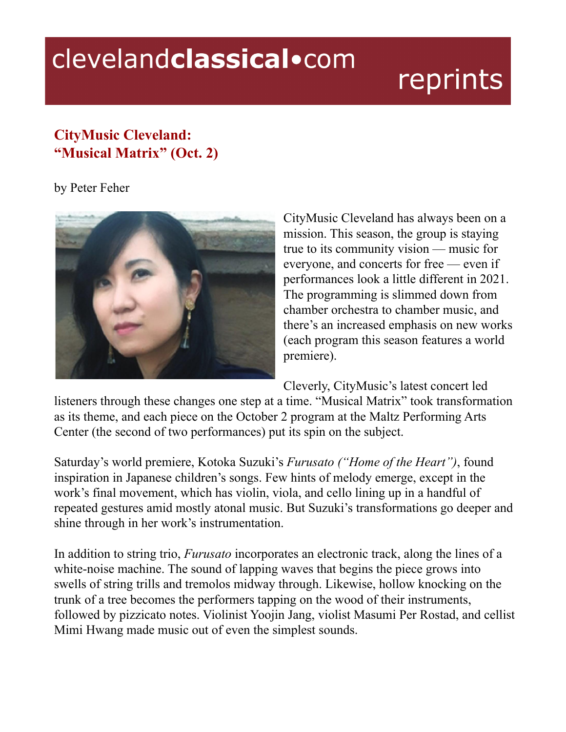## clevelandclassical.com

## reprints

## **CityMusic Cleveland: "Musical Matrix" (Oct. 2)**

by Peter Feher



CityMusic Cleveland has always been on a mission. This season, the group is staying true to its community vision — music for everyone, and concerts for free — even if performances look a little different in 2021. The programming is slimmed down from chamber orchestra to chamber music, and there's an increased emphasis on new works (each program this season features a world premiere).

Cleverly, CityMusic's latest concert led

listeners through these changes one step at a time. "Musical Matrix" took transformation as its theme, and each piece on the October 2 program at the Maltz Performing Arts Center (the second of two performances) put its spin on the subject.

Saturday's world premiere, Kotoka Suzuki's *Furusato ("Home of the Heart")*, found inspiration in Japanese children's songs. Few hints of melody emerge, except in the work's final movement, which has violin, viola, and cello lining up in a handful of repeated gestures amid mostly atonal music. But Suzuki's transformations go deeper and shine through in her work's instrumentation.

In addition to string trio, *Furusato* incorporates an electronic track, along the lines of a white-noise machine. The sound of lapping waves that begins the piece grows into swells of string trills and tremolos midway through. Likewise, hollow knocking on the trunk of a tree becomes the performers tapping on the wood of their instruments, followed by pizzicato notes. Violinist Yoojin Jang, violist Masumi Per Rostad, and cellist Mimi Hwang made music out of even the simplest sounds.